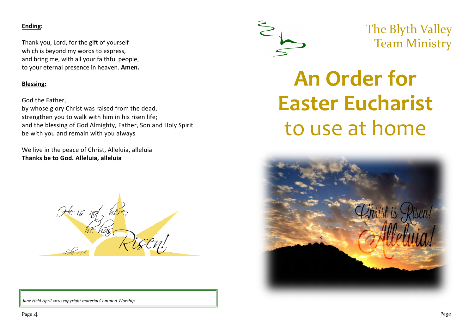# **Ending:**

Thank you, Lord, for the gift of yourself which is beyond my words to express, and bring me, with all your faithful people, to your eternal presence in heaven. **Amen.**

# **Blessing:**

God the Father,

by whose glory Christ was raised from the dead, strengthen you to walk with him in his risen life; and the blessing of God Almighty, Father, Son and Holy Spirit be with you and remain with you always

We live in the peace of Christ, Alleluia, alleluia **Thanks be to God. Alleluia, alleluia**



*Jane Held April 2020 copyright material Common Worship*



The Blyth Valley Team Ministry

# **An Order for Easter Eucharist** to use at home